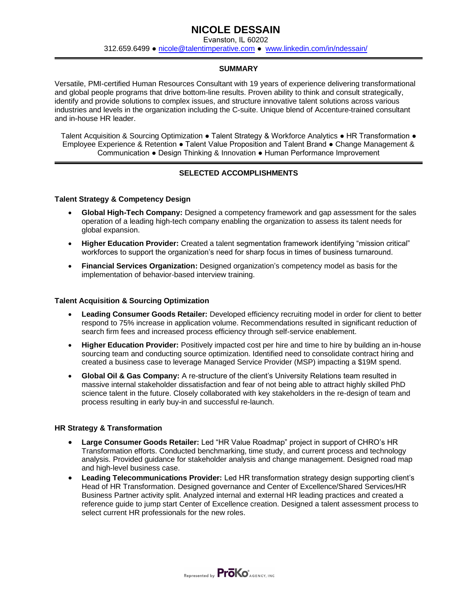# **NICOLE DESSAIN**

Evanston, IL 60202 312.659.6499 **●** [nicole@talentimperative.com](mailto:nicole@talentimperative.com) **●** [www.linkedin.com/in/ndessain/](http://www.linkedin.com/in/ndessain/)

### **SUMMARY**

Versatile, PMI-certified Human Resources Consultant with 19 years of experience delivering transformational and global people programs that drive bottom-line results. Proven ability to think and consult strategically, identify and provide solutions to complex issues, and structure innovative talent solutions across various industries and levels in the organization including the C-suite. Unique blend of Accenture-trained consultant and in-house HR leader.

Talent Acquisition & Sourcing Optimization • Talent Strategy & Workforce Analytics • HR Transformation • Employee Experience & Retention ● Talent Value Proposition and Talent Brand ● Change Management & Communication ● Design Thinking & Innovation ● Human Performance Improvement

### **SELECTED ACCOMPLISHMENTS**

#### **Talent Strategy & Competency Design**

- **Global High-Tech Company:** Designed a competency framework and gap assessment for the sales operation of a leading high-tech company enabling the organization to assess its talent needs for global expansion.
- **Higher Education Provider:** Created a talent segmentation framework identifying "mission critical" workforces to support the organization's need for sharp focus in times of business turnaround.
- **Financial Services Organization:** Designed organization's competency model as basis for the implementation of behavior-based interview training.

#### **Talent Acquisition & Sourcing Optimization**

- **Leading Consumer Goods Retailer:** Developed efficiency recruiting model in order for client to better respond to 75% increase in application volume. Recommendations resulted in significant reduction of search firm fees and increased process efficiency through self-service enablement.
- **Higher Education Provider:** Positively impacted cost per hire and time to hire by building an in-house sourcing team and conducting source optimization. Identified need to consolidate contract hiring and created a business case to leverage Managed Service Provider (MSP) impacting a \$19M spend.
- **Global Oil & Gas Company:** A re-structure of the client's University Relations team resulted in massive internal stakeholder dissatisfaction and fear of not being able to attract highly skilled PhD science talent in the future. Closely collaborated with key stakeholders in the re-design of team and process resulting in early buy-in and successful re-launch.

#### **HR Strategy & Transformation**

- **Large Consumer Goods Retailer:** Led "HR Value Roadmap" project in support of CHRO's HR Transformation efforts. Conducted benchmarking, time study, and current process and technology analysis. Provided guidance for stakeholder analysis and change management. Designed road map and high-level business case.
- **Leading Telecommunications Provider:** Led HR transformation strategy design supporting client's Head of HR Transformation. Designed governance and Center of Excellence/Shared Services/HR Business Partner activity split. Analyzed internal and external HR leading practices and created a reference guide to jump start Center of Excellence creation. Designed a talent assessment process to select current HR professionals for the new roles.

Represented by **ProKo** AGENCY, INC